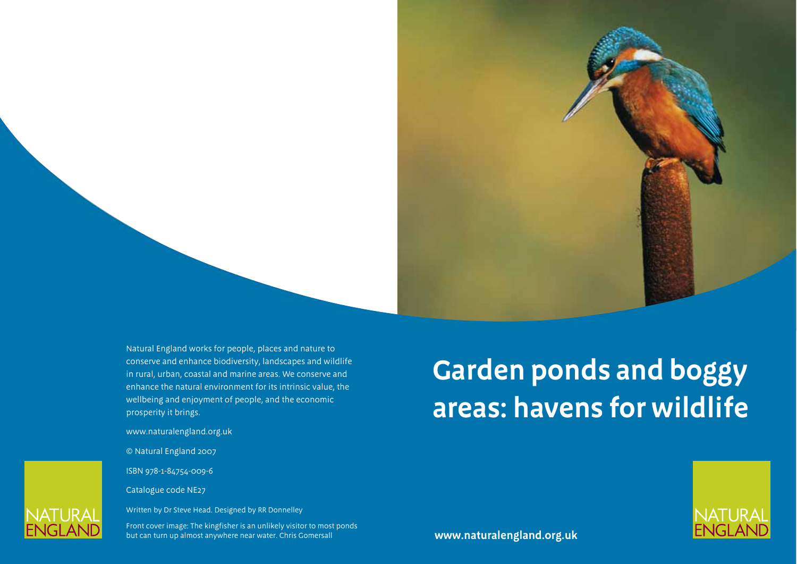Natural England works for people, places and nature to conserve and enhance biodiversity, landscapes and wildlife in rural, urban, coastal and marine areas. We conserve and enhance the natural environment for its intrinsic value, the wellbeing and enjoyment of people, and the economic prosperity it brings.

www.naturalengland.org.uk

© Natural England 2007

ISBN 978-1-84754-009-6

Catalogue code NE27

Written by Dr Steve Head. Designed by RR Donnelley

Front cover image: The kingfisher is an unlikely visitor to most ponds but can turn up almost anywhere near water. Chris Gomersall

# **Garden ponds and boggy areas: havens for wildlife**



**www.naturalengland.org.uk**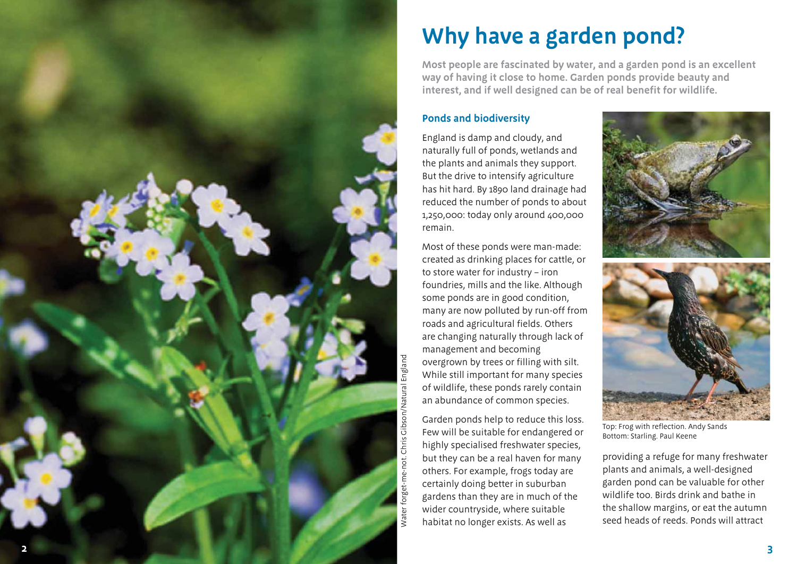

## **Why have a garden pond?**

**Most people are fascinated by water, and a garden pond is an excellent way of having it close to home. Garden ponds provide beauty and interest, and if well designed can be of real benefit for wildlife.** 

#### **Ponds and biodiversity**

England is damp and cloudy, and naturally full of ponds, wetlands and the plants and animals they support. But the drive to intensify agriculture has hit hard. By 1890 land drainage had reduced the number of ponds to about 1,250,000: today only around 400,000 remain.

Most of these ponds were man-made: created as drinking places for cattle, or to store water for industry – iron foundries, mills and the like. Although some ponds are in good condition, many are now polluted by run-off from roads and agricultural fields. Others are changing naturally through lack of management and becoming overgrown by trees or filling with silt. While still important for many species of wildlife, these ponds rarely contain an abundance of common species.

Garden ponds help to reduce this loss. Few will be suitable for endangered or highly specialised freshwater species, but they can be a real haven for many others. For example, frogs today are certainly doing better in suburban gardens than they are in much of the wider countryside, where suitable habitat no longer exists. As well as





Top: Frog with reflection. Andy Sands Bottom: Starling. Paul Keene

providing a refuge for many freshwater plants and animals, a well-designed garden pond can be valuable for other wildlife too. Birds drink and bathe in the shallow margins, or eat the autumn seed heads of reeds. Ponds will attract

**3**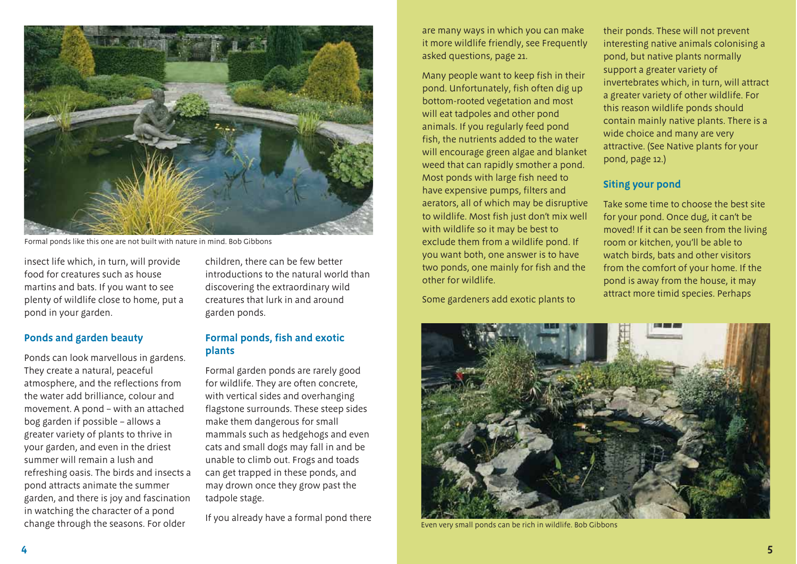

Formal ponds like this one are not built with nature in mind. Bob Gibbons

insect life which, in turn, will provide food for creatures such as house martins and bats. If you want to see plenty of wildlife close to home, put a pond in your garden.

#### **Ponds and garden beauty**

Ponds can look marvellous in gardens. They create a natural, peaceful atmosphere, and the reflections from the water add brilliance, colour and movement. A pond – with an attached bog garden if possible – allows a greater variety of plants to thrive in your garden, and even in the driest summer will remain a lush and refreshing oasis. The birds and insects a pond attracts animate the summer garden, and there is joy and fascination in watching the character of a pond change through the seasons. For older

children, there can be few better introductions to the natural world than discovering the extraordinary wild creatures that lurk in and around garden ponds.

#### **Formal ponds, fish and exotic plants**

Formal garden ponds are rarely good for wildlife. They are often concrete, with vertical sides and overhanging flagstone surrounds. These steep sides make them dangerous for small mammals such as hedgehogs and even cats and small dogs may fall in and be unable to climb out. Frogs and toads can get trapped in these ponds, and may drown once they grow past the tadpole stage.

If you already have a formal pond there

are many ways in which you can make it more wildlife friendly, see Frequently asked questions, page 21.

Many people want to keep fish in their pond. Unfortunately, fish often dig up bottom-rooted vegetation and most will eat tadpoles and other pond animals. If you regularly feed pond fish, the nutrients added to the water will encourage green algae and blanket weed that can rapidly smother a pond. Most ponds with large fish need to have expensive pumps, filters and aerators, all of which may be disruptive to wildlife. Most fish just don't mix well with wildlife so it may be best to exclude them from a wildlife pond. If you want both, one answer is to have two ponds, one mainly for fish and the other for wildlife.

Some gardeners add exotic plants to

their ponds. These will not prevent interesting native animals colonising a pond, but native plants normally support a greater variety of invertebrates which, in turn, will attract a greater variety of other wildlife. For this reason wildlife ponds should contain mainly native plants. There is a wide choice and many are very attractive. (See Native plants for your pond, page 12.)

#### **Siting your pond**

Take some time to choose the best site for your pond. Once dug, it can't be moved! If it can be seen from the living room or kitchen, you'll be able to watch birds, bats and other visitors from the comfort of your home. If the pond is away from the house, it may attract more timid species. Perhaps



Even very small ponds can be rich in wildlife. Bob Gibbons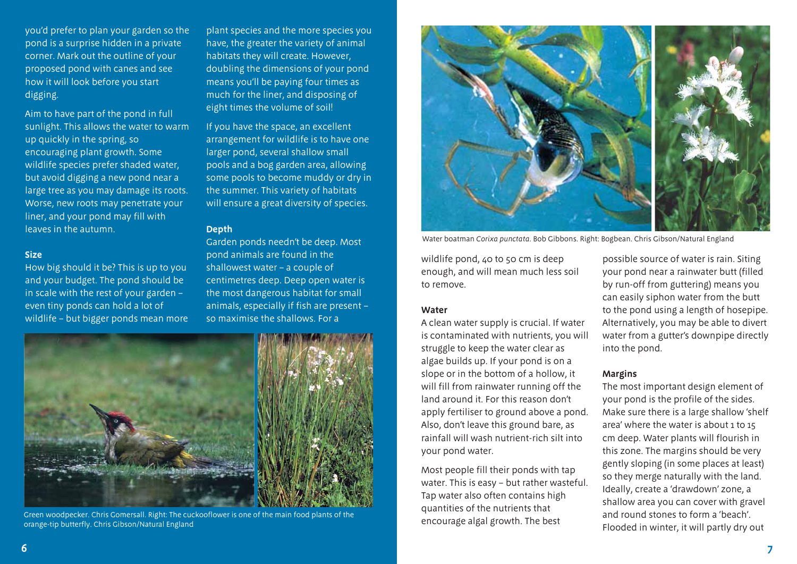you'd prefer to plan your garden so the pond is a surprise hidden in a private corner. Mark out the outline of your proposed pond with canes and see how it will look before you start digging.

Aim to have part of the pond in full sunlight. This allows the water to warm up quickly in the spring, so encouraging plant growth. Some wildlife species prefer shaded water, but avoid digging a new pond near a large tree as you may damage its roots. Worse, new roots may penetrate your liner, and your pond may fill with leaves in the autumn.

#### **Size**

How big should it be? This is up to you and your budget. The pond should be in scale with the rest of your garden – even tiny ponds can hold a lot of wildlife – but bigger ponds mean more

plant species and the more species you have, the greater the variety of animal habitats they will create. However, doubling the dimensions of your pond means you'll be paying four times as much for the liner, and disposing of eight times the volume of soil!

If you have the space, an excellent arrangement for wildlife is to have one larger pond, several shallow small pools and a bog garden area, allowing some pools to become muddy or dry in the summer. This variety of habitats will ensure a great diversity of species.

#### **Depth**

Garden ponds needn't be deep. Most pond animals are found in the shallowest water – a couple of centimetres deep. Deep open water is the most dangerous habitat for small animals, especially if fish are present – so maximise the shallows. For a



Green woodpecker. Chris Gomersall. Right: The cuckooflower is one of the main food plants of the orange-tip butterfly. Chris Gibson/Natural England



Water boatman *Corixa punctata*. Bob Gibbons. Right: Bogbean. Chris Gibson/Natural England

wildlife pond, 40 to 50 cm is deep enough, and will mean much less soil to remove.

#### **Water**

A clean water supply is crucial. If water is contaminated with nutrients, you will struggle to keep the water clear as algae builds up. If your pond is on a slope or in the bottom of a hollow, it will fill from rainwater running off the land around it. For this reason don't apply fertiliser to ground above a pond. Also, don't leave this ground bare, as rainfall will wash nutrient-rich silt into your pond water.

Most people fill their ponds with tap water. This is easy – but rather wasteful. Tap water also often contains high quantities of the nutrients that encourage algal growth. The best

possible source of water is rain. Siting your pond near a rainwater butt (filled by run-off from guttering) means you can easily siphon water from the butt to the pond using a length of hosepipe. Alternatively, you may be able to divert water from a gutter's downpipe directly into the pond.

#### **Margins**

The most important design element of your pond is the profile of the sides. Make sure there is a large shallow 'shelf area' where the water is about 1 to 15 cm deep. Water plants will flourish in this zone. The margins should be very gently sloping (in some places at least) so they merge naturally with the land. Ideally, create a 'drawdown' zone, a shallow area you can cover with gravel and round stones to form a 'beach'. Flooded in winter, it will partly dry out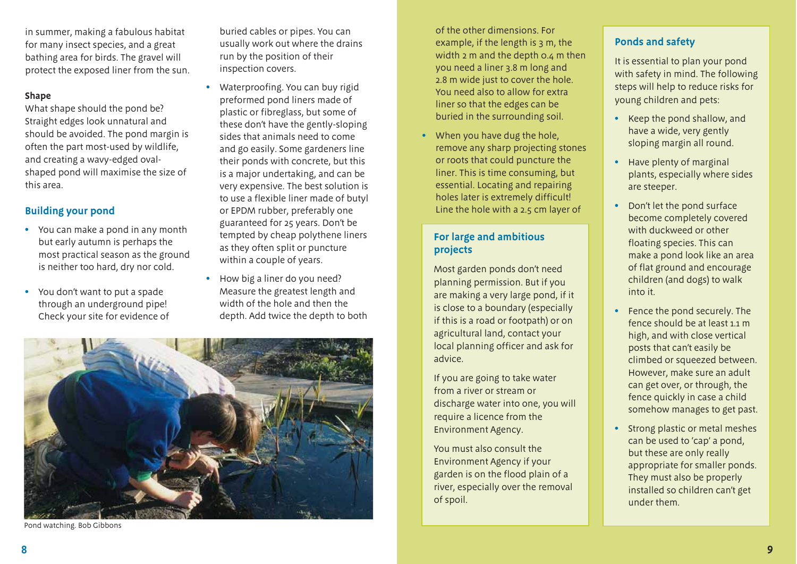in summer, making a fabulous habitat for many insect species, and a great bathing area for birds. The gravel will protect the exposed liner from the sun.

#### **Shape**

What shape should the pond be? Straight edges look unnatural and should be avoided. The pond margin is often the part most-used by wildlife, and creating a wavy-edged ovalshaped pond will maximise the size of this area.

#### **Building your pond**

- You can make a pond in any month but early autumn is perhaps the most practical season as the ground is neither too hard, dry nor cold.
- You don't want to put a spade through an underground pipe! Check your site for evidence of

buried cables or pipes. You can usually work out where the drains run by the position of their inspection covers.

- Waterproofing. You can buy rigid preformed pond liners made of plastic or fibreglass, but some of these don't have the gently-sloping sides that animals need to come and go easily. Some gardeners line their ponds with concrete, but this is a major undertaking, and can be very expensive. The best solution is to use a flexible liner made of butyl or EPDM rubber, preferably one guaranteed for 25 years. Don't be tempted by cheap polythene liners as they often split or puncture within a couple of years.
- How big a liner do you need? Measure the greatest length and width of the hole and then the depth. Add twice the depth to both



Pond watching. Bob Gibbons

of the other dimensions. For example, if the length is 3 m, the width  $2 \text{ m}$  and the depth  $0.4 \text{ m}$  then you need a liner 3.8 m long and 2.8 m wide just to cover the hole. You need also to allow for extra liner so that the edges can be buried in the surrounding soil.

When you have dug the hole, remove any sharp projecting stones or roots that could puncture the liner. This is time consuming, but essential. Locating and repairing holes later is extremely difficult! Line the hole with a 2.5 cm layer of

#### **For large and ambitious projects**

Most garden ponds don't need planning permission. But if you are making a very large pond, if it is close to a boundary (especially if this is a road or footpath) or on agricultural land, contact your local planning officer and ask for advice.

If you are going to take water from a river or stream or discharge water into one, you will require a licence from the Environment Agency.

You must also consult the Environment Agency if your garden is on the flood plain of a river, especially over the removal of spoil.

#### **Ponds and safety**

It is essential to plan your pond with safety in mind. The following steps will help to reduce risks for young children and pets:

- Keep the pond shallow, and have a wide, very gently sloping margin all round.
- Have plenty of marginal plants, especially where sides are steeper.
- Don't let the pond surface become completely covered with duckweed or other floating species. This can make a pond look like an area of flat ground and encourage children (and dogs) to walk into it.
- Fence the pond securely. The fence should be at least 1.1 m high, and with close vertical posts that can't easily be climbed or squeezed between. However, make sure an adult can get over, or through, the fence quickly in case a child somehow manages to get past.
- Strong plastic or metal meshes can be used to 'cap' a pond, but these are only really appropriate for smaller ponds. They must also be properly installed so children can't get under them.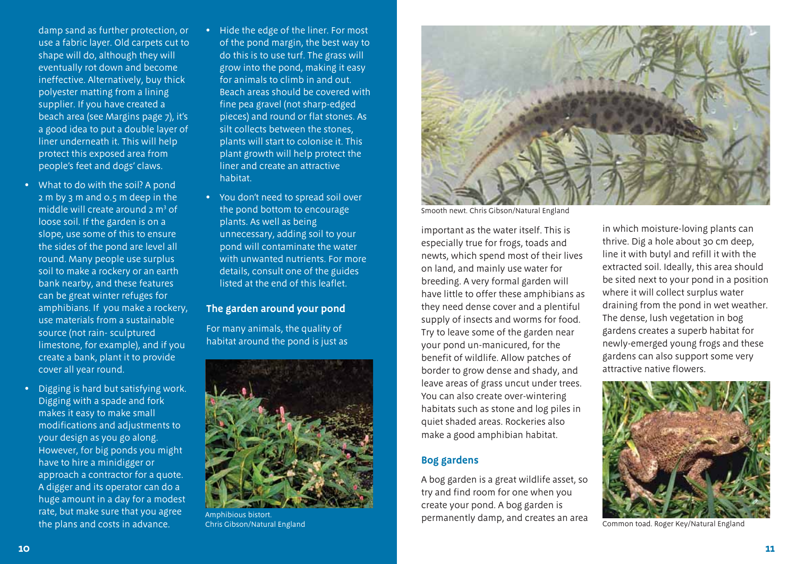damp sand as further protection, or use a fabric layer. Old carpets cut to shape will do, although they will eventually rot down and become ineffective. Alternatively, buy thick polyester matting from a lining supplier. If you have created a beach area (see Margins page 7), it's a good idea to put a double layer of liner underneath it. This will help protect this exposed area from people's feet and dogs' claws.

- What to do with the soil? A pond 2 m by 3 m and 0.5 m deep in the middle will create around  $2 \text{ m}^3$  of loose soil. If the garden is on a slope, use some of this to ensure the sides of the pond are level all round. Many people use surplus soil to make a rockery or an earth bank nearby, and these features can be great winter refuges for amphibians. If you make a rockery, use materials from a sustainable source (not rain- sculptured limestone, for example), and if you create a bank, plant it to provide cover all year round.
- Digging is hard but satisfying work. Digging with a spade and fork makes it easy to make small modifications and adjustments to your design as you go along. However, for big ponds you might have to hire a minidigger or approach a contractor for a quote. A digger and its operator can do a huge amount in a day for a modest rate, but make sure that you agree the plans and costs in advance.
- Hide the edge of the liner. For most of the pond margin, the best way to do this is to use turf. The grass will grow into the pond, making it easy for animals to climb in and out. Beach areas should be covered with fine pea gravel (not sharp-edged pieces) and round or flat stones. As silt collects between the stones, plants will start to colonise it. This plant growth will help protect the liner and create an attractive habitat.
- You don't need to spread soil over the pond bottom to encourage plants. As well as being unnecessary, adding soil to your pond will contaminate the water with unwanted nutrients. For more details, consult one of the guides listed at the end of this leaflet.

#### **The garden around your pond**

For many animals, the quality of habitat around the pond is just as



Amphibious bistort. Chris Gibson/Natural England



Smooth newt. Chris Gibson/Natural England

important as the water itself. This is especially true for frogs, toads and newts, which spend most of their lives on land, and mainly use water for breeding. A very formal garden will have little to offer these amphibians as they need dense cover and a plentiful supply of insects and worms for food. Try to leave some of the garden near your pond un-manicured, for the benefit of wildlife. Allow patches of border to grow dense and shady, and leave areas of grass uncut under trees. You can also create over-wintering habitats such as stone and log piles in quiet shaded areas. Rockeries also make a good amphibian habitat.

#### **Bog gardens**

A bog garden is a great wildlife asset, so try and find room for one when you create your pond. A bog garden is permanently damp, and creates an area

in which moisture-loving plants can thrive. Dig a hole about 30 cm deep, line it with butyl and refill it with the extracted soil. Ideally, this area should be sited next to your pond in a position where it will collect surplus water draining from the pond in wet weather. The dense, lush vegetation in bog gardens creates a superb habitat for newly-emerged young frogs and these gardens can also support some very attractive native flowers.



Common toad. Roger Key/Natural England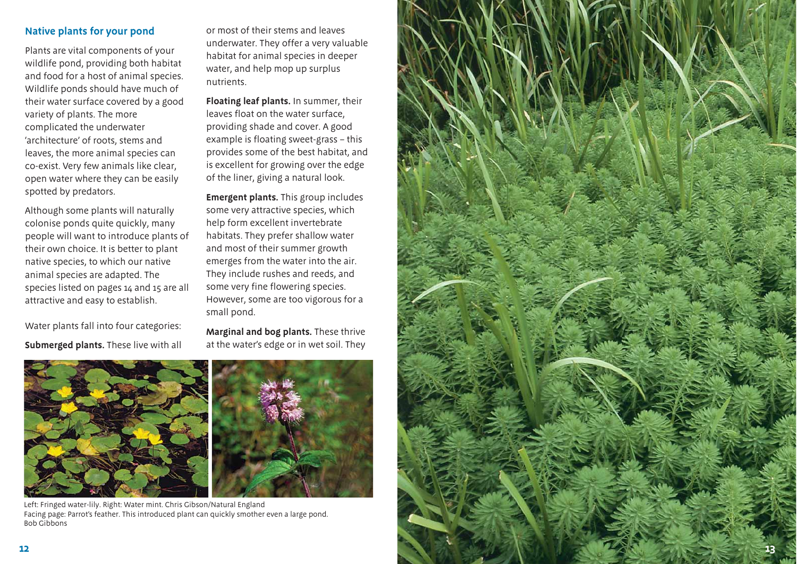#### **Native plants for your pond**

Plants are vital components of your wildlife pond, providing both habitat and food for a host of animal species. Wildlife ponds should have much of their water surface covered by a good variety of plants. The more complicated the underwater 'architecture' of roots, stems and leaves, the more animal species can co-exist. Very few animals like clear, open water where they can be easily spotted by predators.

Although some plants will naturally colonise ponds quite quickly, many people will want to introduce plants of their own choice. It is better to plant native species, to which our native animal species are adapted. The species listed on pages 14 and 15 are all attractive and easy to establish.

Water plants fall into four categories: **Submerged plants.** These live with all or most of their stems and leaves underwater. They offer a very valuable habitat for animal species in deeper water, and help mop up surplus nutrients.

**Floating leaf plants.** In summer, their leaves float on the water surface, providing shade and cover. A good example is floating sweet-grass – this provides some of the best habitat, and is excellent for growing over the edge of the liner, giving a natural look.

**Emergent plants.** This group includes some very attractive species, which help form excellent invertebrate habitats. They prefer shallow water and most of their summer growth emerges from the water into the air. They include rushes and reeds, and some very fine flowering species. However, some are too vigorous for a small pond.

**Marginal and bog plants.** These thrive at the water's edge or in wet soil. They





Left: Fringed water-lily. Right: Water mint. Chris Gibson/Natural England Facing page: Parrot's feather. This introduced plant can quickly smother even a large pond. Bob Gibbons

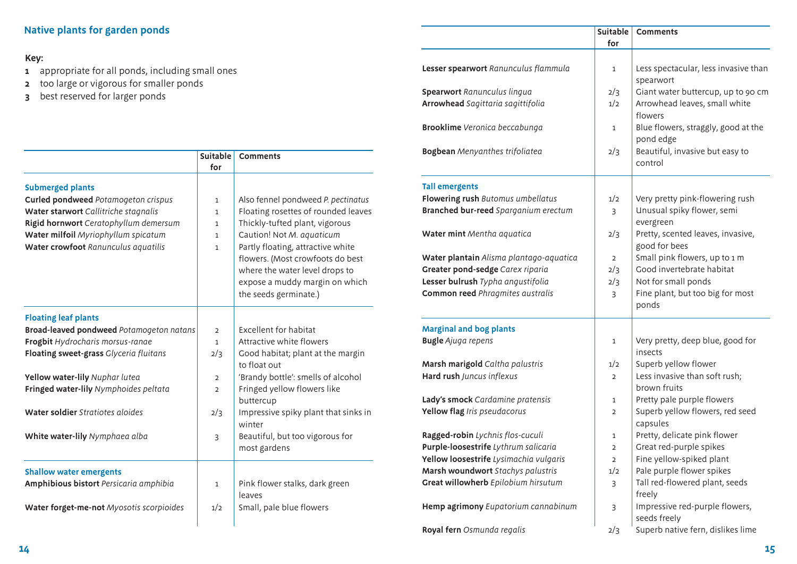### **Native plants for garden ponds**

#### **Key:**

- **1** appropriate for all ponds, including small ones
- **2** too large or vigorous for smaller ponds
- **3** best reserved for larger ponds

|                                            | <b>Suitable</b> | <b>Comments</b>                      |
|--------------------------------------------|-----------------|--------------------------------------|
|                                            | for             |                                      |
| <b>Submerged plants</b>                    |                 |                                      |
| <b>Curled pondweed Potamogeton crispus</b> | $\mathbf{1}$    | Also fennel pondweed P. pectinatus   |
| Water starwort Callitriche stagnalis       | $\mathbf{1}$    | Floating rosettes of rounded leaves  |
| Rigid hornwort Ceratophyllum demersum      | $\mathbf{1}$    | Thickly-tufted plant, vigorous       |
| Water milfoil Myriophyllum spicatum        | $\mathbf{1}$    | Caution! Not M. aquaticum            |
| Water crowfoot Ranunculus aquatilis        | $\mathbf{1}$    | Partly floating, attractive white    |
|                                            |                 | flowers. (Most crowfoots do best     |
|                                            |                 | where the water level drops to       |
|                                            |                 | expose a muddy margin on which       |
|                                            |                 | the seeds germinate.)                |
|                                            |                 |                                      |
| <b>Floating leaf plants</b>                |                 |                                      |
| Broad-leaved pondweed Potamogeton natans   | $\overline{2}$  | <b>Excellent for habitat</b>         |
| Frogbit Hydrocharis morsus-ranae           | $\mathbf{1}$    | Attractive white flowers             |
| Floating sweet-grass Glyceria fluitans     | 2/3             | Good habitat; plant at the margin    |
|                                            |                 | to float out                         |
| Yellow water-lily Nuphar lutea             | $\overline{2}$  | 'Brandy bottle': smells of alcohol   |
| Fringed water-lily Nymphoides peltata      | $\overline{2}$  | Fringed yellow flowers like          |
|                                            |                 | buttercup                            |
| Water soldier Stratiotes aloides           | 2/3             | Impressive spiky plant that sinks in |
|                                            |                 | winter                               |
| White water-lily Nymphaea alba             | $\overline{3}$  | Beautiful, but too vigorous for      |
|                                            |                 | most gardens                         |
| <b>Shallow water emergents</b>             |                 |                                      |
| Amphibious bistort Persicaria amphibia     | $\mathbf{1}$    | Pink flower stalks, dark green       |
|                                            |                 | leaves                               |
| Water forget-me-not Myosotis scorpioides   | 1/2             | Small, pale blue flowers             |
|                                            |                 |                                      |

|                                         | <b>Suitable</b> | <b>Comments</b>                                    |  |
|-----------------------------------------|-----------------|----------------------------------------------------|--|
|                                         | for             |                                                    |  |
|                                         |                 |                                                    |  |
| Lesser spearwort Ranunculus flammula    | 1               | Less spectacular, less invasive than<br>spearwort  |  |
| Spearwort Ranunculus lingua             | 2/3             | Giant water buttercup, up to 90 cm                 |  |
| Arrowhead Sagittaria sagittifolia       | 1/2             | Arrowhead leaves, small white<br>flowers           |  |
| <b>Brooklime</b> Veronica beccabunga    | 1               | Blue flowers, straggly, good at the<br>pond edge   |  |
| <b>Bogbean</b> Menyanthes trifoliatea   | 2/3             | Beautiful, invasive but easy to<br>control         |  |
| <b>Tall emergents</b>                   |                 |                                                    |  |
| Flowering rush Butomus umbellatus       | 1/2             | Very pretty pink-flowering rush                    |  |
| Branched bur-reed Sparganium erectum    | 3               | Unusual spiky flower, semi<br>evergreen            |  |
| Water mint Mentha aquatica              | 2/3             | Pretty, scented leaves, invasive,<br>good for bees |  |
| Water plantain Alisma plantago-aquatica | $\overline{2}$  | Small pink flowers, up to 1 m                      |  |
| Greater pond-sedge Carex riparia        | 2/3             | Good invertebrate habitat                          |  |
| Lesser bulrush Typha angustifolia       | 2/3             | Not for small ponds                                |  |
| Common reed Phragmites australis        | 3               | Fine plant, but too big for most<br>ponds          |  |
| <b>Marginal and bog plants</b>          |                 |                                                    |  |
| <b>Bugle</b> Ajuga repens               | 1               | Very pretty, deep blue, good for<br>insects        |  |
| Marsh marigold Caltha palustris         | 1/2             | Superb yellow flower                               |  |
| Hard rush Juncus inflexus               | $\overline{2}$  | Less invasive than soft rush;<br>brown fruits      |  |
| Lady's smock Cardamine pratensis        | 1               | Pretty pale purple flowers                         |  |
| Yellow flag Iris pseudacorus            | 2               | Superb yellow flowers, red seed<br>capsules        |  |
| Ragged-robin Lychnis flos-cuculi        | 1               | Pretty, delicate pink flower                       |  |
| Purple-loosestrife Lythrum salicaria    | 2               | Great red-purple spikes                            |  |
| Yellow loosestrife Lysimachia vulgaris  | $\overline{2}$  | Fine yellow-spiked plant                           |  |
| Marsh woundwort Stachys palustris       | 1/2             | Pale purple flower spikes                          |  |
| Great willowherb Epilobium hirsutum     | 3               | Tall red-flowered plant, seeds<br>freely           |  |
| Hemp agrimony Eupatorium cannabinum     | 3               | Impressive red-purple flowers,<br>seeds freely     |  |
| Royal fern Osmunda regalis              | 2/3             | Superb native fern, dislikes lime                  |  |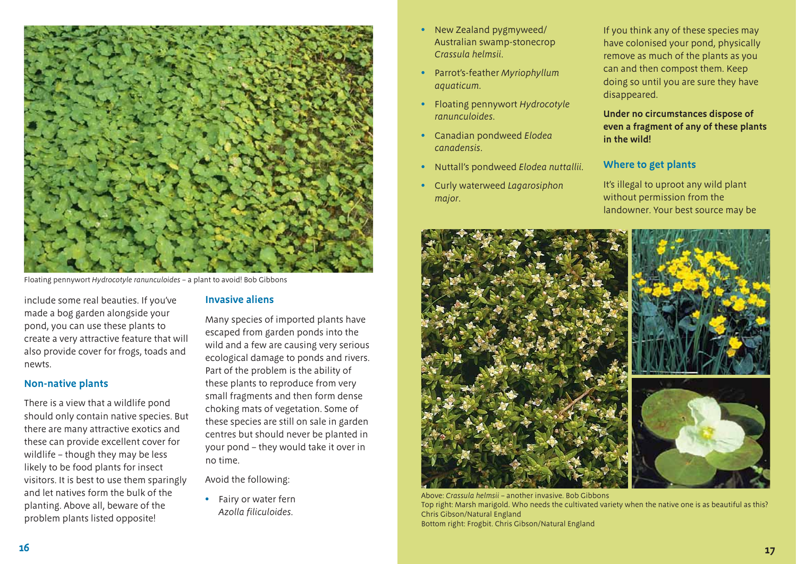

Floating pennywort *Hydrocotyle ranunculoides* – a plant to avoid! Bob Gibbons

include some real beauties. If you've made a bog garden alongside your pond, you can use these plants to create a very attractive feature that will also provide cover for frogs, toads and newts.

#### **Non-native plants**

There is a view that a wildlife pond should only contain native species. But there are many attractive exotics and these can provide excellent cover for wildlife – though they may be less likely to be food plants for insect visitors. It is best to use them sparingly and let natives form the bulk of the planting. Above all, beware of the problem plants listed opposite!

#### **Invasive aliens**

Many species of imported plants have escaped from garden ponds into the wild and a few are causing very serious ecological damage to ponds and rivers. Part of the problem is the ability of these plants to reproduce from very small fragments and then form dense choking mats of vegetation. Some of these species are still on sale in garden centres but should never be planted in your pond – they would take it over in no time.

Avoid the following:

• Fairy or water fern *Azolla filiculoides.*

- New Zealand pygmyweed/ Australian swamp-stonecrop *Crassula helmsii*.
- Parrot's-feather *Myriophyllum aquaticum*.
- Floating pennywort *Hydrocotyle ranunculoides*.
- Canadian pondweed *Elodea canadensis*.
- Nuttall's pondweed *Elodea nuttallii*.
- Curly waterweed *Lagarosiphon major*.

If you think any of these species may have colonised your pond, physically remove as much of the plants as you can and then compost them. Keep doing so until you are sure they have disappeared.

**Under no circumstances dispose of even a fragment of any of these plants in the wild!** 

#### **Where to get plants**

It's illegal to uproot any wild plant without permission from the landowner. Your best source may be



Above: *Crassula helmsii* – another invasive. Bob Gibbons Top right: Marsh marigold. Who needs the cultivated variety when the native one is as beautiful as this? Chris Gibson/Natural England Bottom right: Frogbit. Chris Gibson/Natural England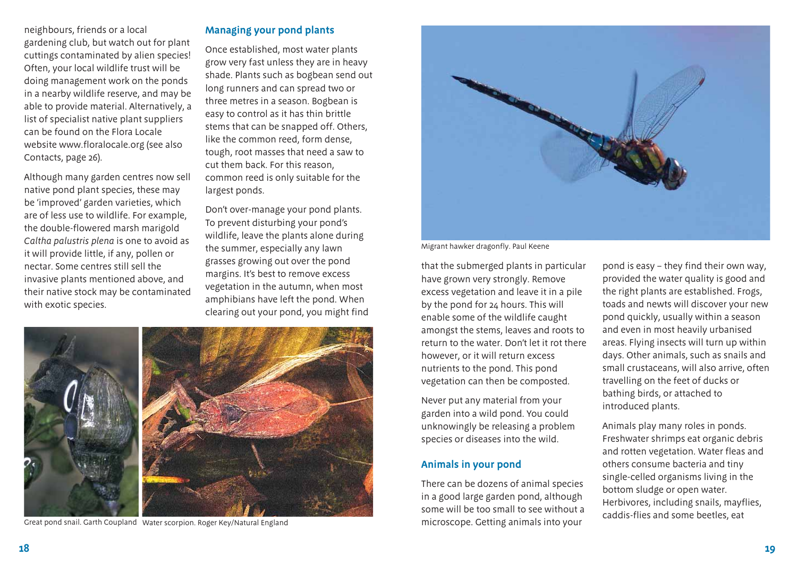neighbours, friends or a local gardening club, but watch out for plant cuttings contaminated by alien species! Often, your local wildlife trust will be doing management work on the ponds in a nearby wildlife reserve, and may be able to provide material. Alternatively, a list of specialist native plant suppliers can be found on the Flora Locale website www.floralocale.org (see also Contacts, page 26).

Although many garden centres now sell native pond plant species, these may be 'improved' garden varieties, which are of less use to wildlife. For example, the double-flowered marsh marigold *Caltha palustris plena* is one to avoid as it will provide little, if any, pollen or nectar. Some centres still sell the invasive plants mentioned above, and their native stock may be contaminated with exotic species.

#### **Managing your pond plants**

Once established, most water plants grow very fast unless they are in heavy shade. Plants such as bogbean send out long runners and can spread two or three metres in a season. Bogbean is easy to control as it has thin brittle stems that can be snapped off. Others, like the common reed, form dense, tough, root masses that need a saw to cut them back. For this reason, common reed is only suitable for the largest ponds.

Don't over-manage your pond plants. To prevent disturbing your pond's wildlife, leave the plants alone during the summer, especially any lawn grasses growing out over the pond margins. It's best to remove excess vegetation in the autumn, when most amphibians have left the pond. When clearing out your pond, you might find



Great pond snail. Garth Coupland Water scorpion. Roger Key/Natural England



Migrant hawker dragonfly. Paul Keene

that the submerged plants in particular have grown very strongly. Remove excess vegetation and leave it in a pile by the pond for 24 hours. This will enable some of the wildlife caught amongst the stems, leaves and roots to return to the water. Don't let it rot there however, or it will return excess nutrients to the pond. This pond vegetation can then be composted.

Never put any material from your garden into a wild pond. You could unknowingly be releasing a problem species or diseases into the wild.

#### **Animals in your pond**

There can be dozens of animal species in a good large garden pond, although some will be too small to see without a microscope. Getting animals into your caddis-flies and some beetles, eat water scorpion. Roger Key/Natural England animals into your caddis-flies and some beetles, eat

pond is easy – they find their own way, provided the water quality is good and the right plants are established. Frogs, toads and newts will discover your new pond quickly, usually within a season and even in most heavily urbanised areas. Flying insects will turn up within days. Other animals, such as snails and small crustaceans, will also arrive, often travelling on the feet of ducks or bathing birds, or attached to introduced plants.

Animals play many roles in ponds. Freshwater shrimps eat organic debris and rotten vegetation. Water fleas and others consume bacteria and tiny single-celled organisms living in the bottom sludge or open water. Herbivores, including snails, mayflies,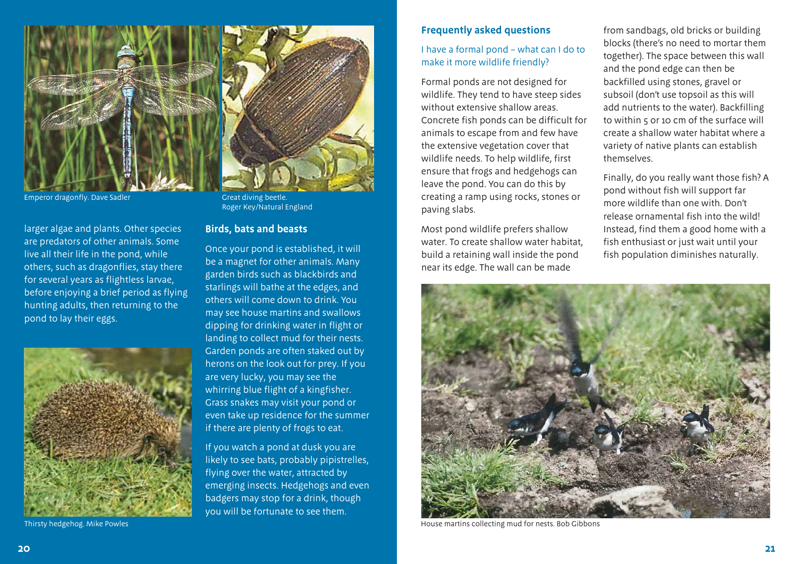

Emperor dragonfly. Dave Sadler Great diving beetle.

larger algae and plants. Other species are predators of other animals. Some live all their life in the pond, while others, such as dragonflies, stay there for several years as flightless larvae, before enjoying a brief period as flying hunting adults, then returning to the pond to lay their eggs.



Thirsty hedgehog. Mike Powles



Roger Key/Natural England

#### **Birds, bats and beasts**

Once your pond is established, it will be a magnet for other animals. Many garden birds such as blackbirds and starlings will bathe at the edges, and others will come down to drink. You may see house martins and swallows dipping for drinking water in flight or landing to collect mud for their nests. Garden ponds are often staked out by herons on the look out for prey. If you are very lucky, you may see the whirring blue flight of a kingfisher. Grass snakes may visit your pond or even take up residence for the summer if there are plenty of frogs to eat.

If you watch a pond at dusk you are likely to see bats, probably pipistrelles, flying over the water, attracted by emerging insects. Hedgehogs and even badgers may stop for a drink, though you will be fortunate to see them.

#### **Frequently asked questions**

#### I have a formal pond – what can I do to make it more wildlife friendly?

Formal ponds are not designed for wildlife. They tend to have steep sides without extensive shallow areas. Concrete fish ponds can be difficult for animals to escape from and few have the extensive vegetation cover that wildlife needs. To help wildlife, first ensure that frogs and hedgehogs can leave the pond. You can do this by creating a ramp using rocks, stones or paving slabs.

Most pond wildlife prefers shallow water. To create shallow water habitat, build a retaining wall inside the pond near its edge. The wall can be made

from sandbags, old bricks or building blocks (there's no need to mortar them together). The space between this wall and the pond edge can then be backfilled using stones, gravel or subsoil (don't use topsoil as this will add nutrients to the water). Backfilling to within 5 or 10 cm of the surface will create a shallow water habitat where a variety of native plants can establish themselves.

Finally, do you really want those fish? A pond without fish will support far more wildlife than one with. Don't release ornamental fish into the wild! Instead, find them a good home with a fish enthusiast or just wait until your fish population diminishes naturally.



House martins collecting mud for nests. Bob Gibbons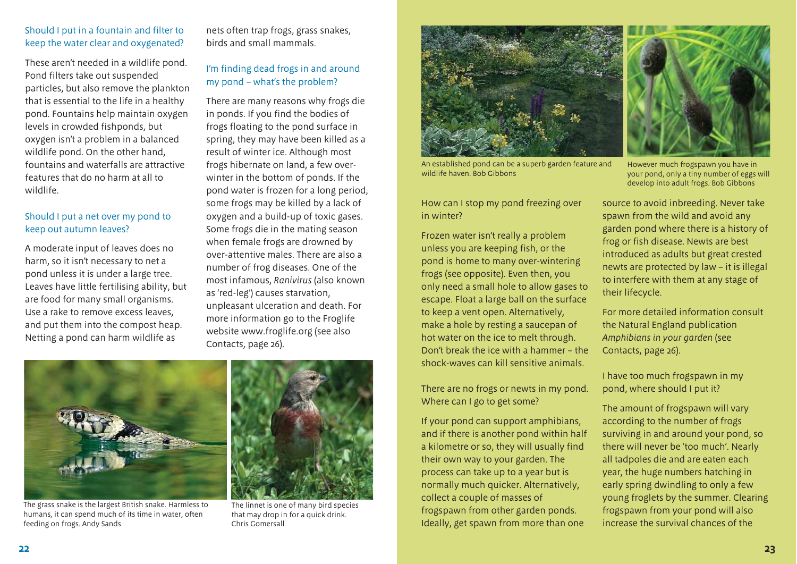#### Should I put in a fountain and filter to keep the water clear and oxygenated?

These aren't needed in a wildlife pond. Pond filters take out suspended particles, but also remove the plankton that is essential to the life in a healthy pond. Fountains help maintain oxygen levels in crowded fishponds, but oxygen isn't a problem in a balanced wildlife pond. On the other hand, fountains and waterfalls are attractive features that do no harm at all to wildlife.

#### Should I put a net over my pond to keep out autumn leaves?

A moderate input of leaves does no harm, so it isn't necessary to net a pond unless it is under a large tree. Leaves have little fertilising ability, but are food for many small organisms. Use a rake to remove excess leaves, and put them into the compost heap. Netting a pond can harm wildlife as

nets often trap frogs, grass snakes, birds and small mammals.

#### I'm finding dead frogs in and around my pond – what's the problem?

There are many reasons why frogs die in ponds. If you find the bodies of frogs floating to the pond surface in spring, they may have been killed as a result of winter ice. Although most frogs hibernate on land, a few overwinter in the bottom of ponds. If the pond water is frozen for a long period, some frogs may be killed by a lack of oxygen and a build-up of toxic gases. Some frogs die in the mating season when female frogs are drowned by over-attentive males. There are also a number of frog diseases. One of the most infamous, *Ranivirus* (also known as 'red-leg') causes starvation, unpleasant ulceration and death. For more information go to the Froglife website www.froglife.org (see also Contacts, page 26).



The grass snake is the largest British snake. Harmless to humans, it can spend much of its time in water, often feeding on frogs. Andy Sands



The linnet is one of many bird species that may drop in for a quick drink. Chris Gomersall



An established pond can be a superb garden feature and wildlife haven. Bob Gibbons

How can I stop my pond freezing over in winter?

Frozen water isn't really a problem unless you are keeping fish, or the pond is home to many over-wintering frogs (see opposite). Even then, you only need a small hole to allow gases to escape. Float a large ball on the surface to keep a vent open. Alternatively, make a hole by resting a saucepan of hot water on the ice to melt through. Don't break the ice with a hammer – the shock-waves can kill sensitive animals.

There are no frogs or newts in my pond. Where can I go to get some?

If your pond can support amphibians, and if there is another pond within half a kilometre or so, they will usually find their own way to your garden. The process can take up to a year but is normally much quicker. Alternatively, collect a couple of masses of frogspawn from other garden ponds. Ideally, get spawn from more than one



However much frogspawn you have in your pond, only a tiny number of eggs will develop into adult frogs. Bob Gibbons

source to avoid inbreeding. Never take spawn from the wild and avoid any garden pond where there is a history of frog or fish disease. Newts are best introduced as adults but great crested newts are protected by law – it is illegal to interfere with them at any stage of their lifecycle.

For more detailed information consult the Natural England publication *Amphibians in your garden* (see Contacts, page 26).

I have too much frogspawn in my pond, where should I put it?

The amount of frogspawn will vary according to the number of frogs surviving in and around your pond, so there will never be 'too much'. Nearly all tadpoles die and are eaten each year, the huge numbers hatching in early spring dwindling to only a few young froglets by the summer. Clearing frogspawn from your pond will also increase the survival chances of the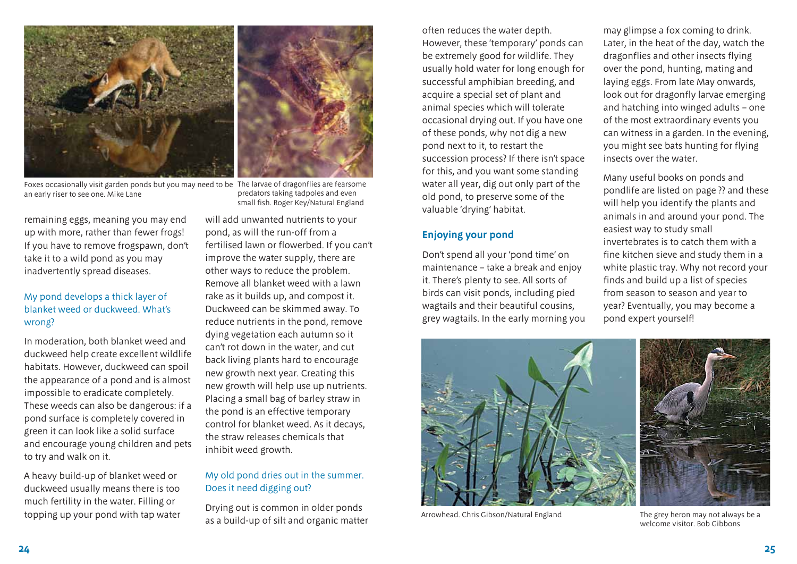

Foxes occasionally visit garden ponds but you may need to be The larvae of dragonflies are fearsome an early riser to see one. Mike Lane

remaining eggs, meaning you may end up with more, rather than fewer frogs! If you have to remove frogspawn, don't take it to a wild pond as you may inadvertently spread diseases.

#### My pond develops a thick layer of blanket weed or duckweed. What's wrong?

In moderation, both blanket weed and duckweed help create excellent wildlife habitats. However, duckweed can spoil the appearance of a pond and is almost impossible to eradicate completely. These weeds can also be dangerous: if a pond surface is completely covered in green it can look like a solid surface and encourage young children and pets to try and walk on it.

A heavy build-up of blanket weed or duckweed usually means there is too much fertility in the water. Filling or topping up your pond with tap water

predators taking tadpoles and even small fish. Roger Key/Natural England

will add unwanted nutrients to your pond, as will the run-off from a fertilised lawn or flowerbed. If you can't improve the water supply, there are other ways to reduce the problem. Remove all blanket weed with a lawn rake as it builds up, and compost it. Duckweed can be skimmed away. To reduce nutrients in the pond, remove dying vegetation each autumn so it can't rot down in the water, and cut back living plants hard to encourage new growth next year. Creating this new growth will help use up nutrients. Placing a small bag of barley straw in the pond is an effective temporary control for blanket weed. As it decays, the straw releases chemicals that inhibit weed growth.

#### My old pond dries out in the summer. Does it need digging out?

Drying out is common in older ponds as a build-up of silt and organic matter often reduces the water depth. However, these 'temporary' ponds can be extremely good for wildlife. They usually hold water for long enough for successful amphibian breeding, and acquire a special set of plant and animal species which will tolerate occasional drying out. If you have one of these ponds, why not dig a new pond next to it, to restart the succession process? If there isn't space for this, and you want some standing water all year, dig out only part of the old pond, to preserve some of the valuable 'drying' habitat.

#### **Enjoying your pond**

Don't spend all your 'pond time' on maintenance – take a break and enjoy it. There's plenty to see. All sorts of birds can visit ponds, including pied wagtails and their beautiful cousins, grey wagtails. In the early morning you may glimpse a fox coming to drink. Later, in the heat of the day, watch the dragonflies and other insects flying over the pond, hunting, mating and laying eggs. From late May onwards, look out for dragonfly larvae emerging and hatching into winged adults – one of the most extraordinary events you can witness in a garden. In the evening, you might see bats hunting for flying insects over the water.

Many useful books on ponds and pondlife are listed on page ?? and these will help you identify the plants and animals in and around your pond. The easiest way to study small invertebrates is to catch them with a fine kitchen sieve and study them in a white plastic tray. Why not record your finds and build up a list of species from season to season and year to year? Eventually, you may become a pond expert yourself!



Arrowhead. Chris Gibson/Natural England

The grey heron may not always be a welcome visitor. Bob Gibbons